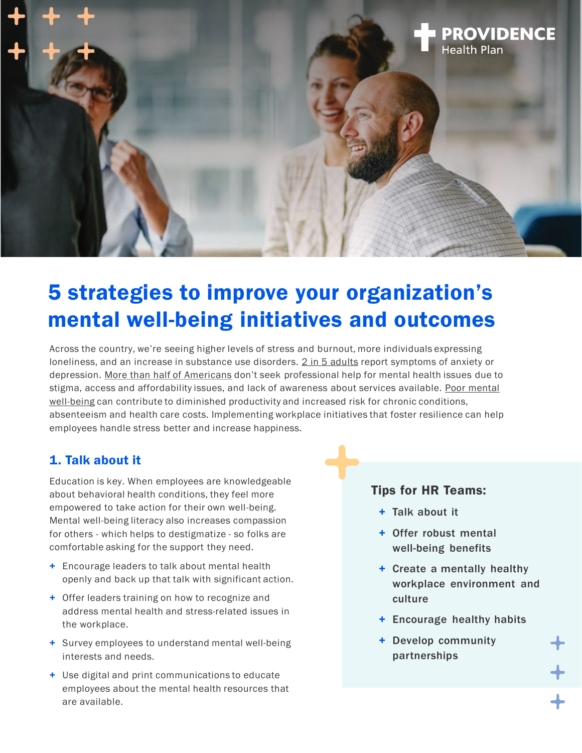

# 5 strategies to improve your organization's mental well-being initiatives and outcomes

Across the country, we're seeing higher levels of stress and burnout, more individuals expressing loneliness, and an increase in substance use disorders. [2 in 5 adults](https://www.cdc.gov/mmwr/volumes/70/wr/mm7013e2.htm) report symptoms of anxiety or depression. [More than half of Americans](https://www.mhanational.org/issues/state-mental-health-america) don't seek professional help for mental health issues due to stigma, access and affordability issues, and lack of awareness about services available. Poor mental well-being [can contribute to diminished productivity and increased risk for chronic conditions,](https://www.mckinsey.com/industries/healthcare-systems-and-services/our-insights/mental-health-in-the-workplace-the-coming-revolution)  absenteeism and health care costs. Implementing workplace initiatives that foster resilience can help employees handle stress better and increase happiness.

# 1. Talk about it

Education is key. When employees are knowledgeable about behavioral health conditions, they feel more empowered to take action for their own well-being. Mental well-being literacy also increases compassion for others - which helps to destigmatize - so folks are comfortable asking for the support they need.

- + Encourage leaders to talk about mental health openly and back up that talk with significant action.
- + Offer leaders training on how to recognize and address mental health and stress-related issues in the workplace.
- + Survey employees to understand mental well-being interests and needs.
- + Use digital and print communications to educate employees about the mental health resources that are available.

#### Tips for HR Teams:

- + Talk about it
- + Offer robust mental well-being benefits
- + Create a mentally healthy workplace environment and culture
- + Encourage healthy habits
- + Develop community partnerships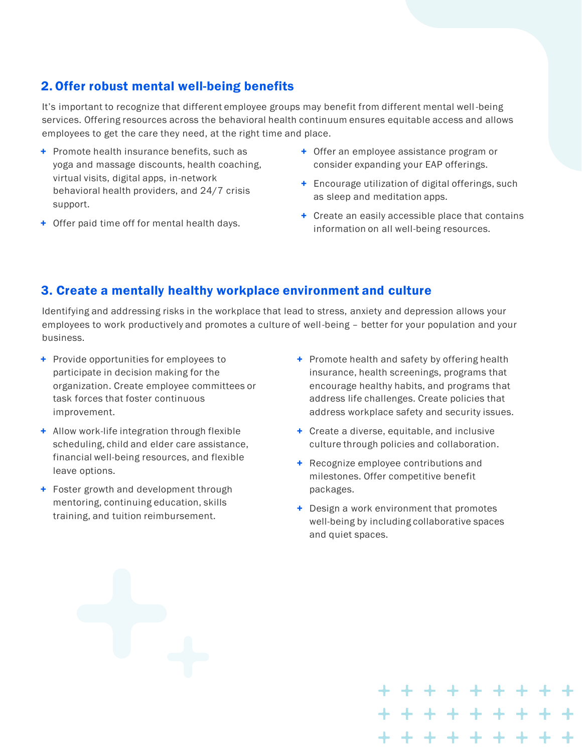# 2. Offer robust mental well-being benefits

It's important to recognize that different employee groups may benefit from different mental well -being services. Offering resources across the behavioral health continuum ensures equitable access and allows employees to get the care they need, at the right time and place.

- + Promote health insurance benefits, such as yoga and massage discounts, health coaching, virtual visits, digital apps, in-network behavioral health providers, and 24/7 crisis support.
- + Offer paid time off for mental health days.
- + Offer an employee assistance program or consider expanding your EAP offerings.
- + Encourage utilization of digital offerings, such as sleep and meditation apps.
- + Create an easily accessible place that contains information on all well-being resources.

# 3. Create a mentally healthy workplace environment and culture

Identifying and addressing risks in the workplace that lead to stress, anxiety and depression allows your employees to work productively and promotes a culture of well-being – better for your population and your business.

- + Provide opportunities for employees to participate in decision making for the organization. Create employee committees or task forces that foster continuous improvement.
- + Allow work-life integration through flexible scheduling, child and elder care assistance, financial well-being resources, and flexible leave options.
- + Foster growth and development through mentoring, continuing education, skills training, and tuition reimbursement.
- + Promote health and safety by offering health insurance, health screenings, programs that encourage healthy habits, and programs that address life challenges. Create policies that address workplace safety and security issues.
- + Create a diverse, equitable, and inclusive culture through policies and collaboration.
- + Recognize employee contributions and milestones. Offer competitive benefit packages.
- + Design a work environment that promotes well-being by including collaborative spaces and quiet spaces.